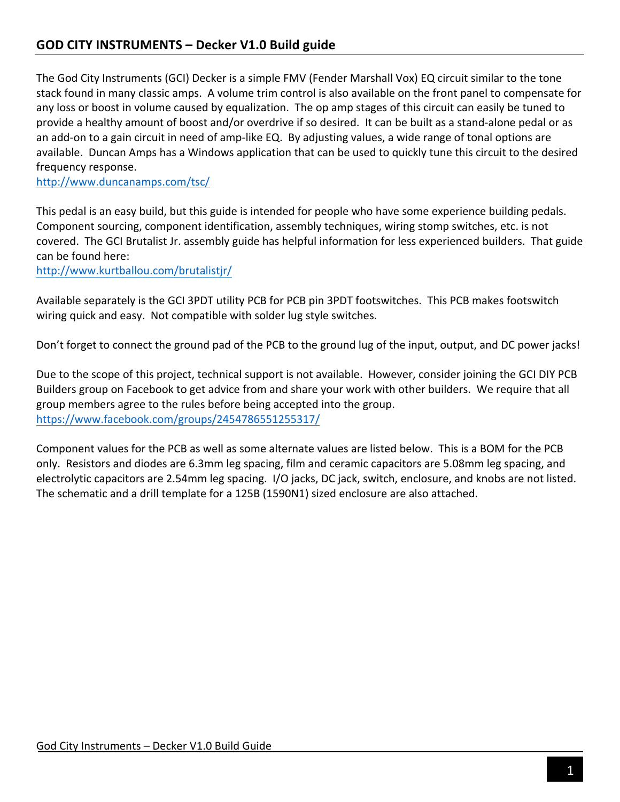The God City Instruments (GCI) Decker is a simple FMV (Fender Marshall Vox) EQ circuit similar to the tone stack found in many classic amps. A volume trim control is also available on the front panel to compensate for any loss or boost in volume caused by equalization. The op amp stages of this circuit can easily be tuned to provide a healthy amount of boost and/or overdrive if so desired. It can be built as a stand-alone pedal or as an add-on to a gain circuit in need of amp-like EQ. By adjusting values, a wide range of tonal options are available. Duncan Amps has a Windows application that can be used to quickly tune this circuit to the desired frequency response.

http://www.duncanamps.com/tsc/

This pedal is an easy build, but this guide is intended for people who have some experience building pedals. Component sourcing, component identification, assembly techniques, wiring stomp switches, etc. is not covered. The GCI Brutalist Jr. assembly guide has helpful information for less experienced builders. That guide can be found here:

http://www.kurtballou.com/brutalistjr/

Available separately is the GCI 3PDT utility PCB for PCB pin 3PDT footswitches. This PCB makes footswitch wiring quick and easy. Not compatible with solder lug style switches.

Don't forget to connect the ground pad of the PCB to the ground lug of the input, output, and DC power jacks!

Due to the scope of this project, technical support is not available. However, consider joining the GCI DIY PCB Builders group on Facebook to get advice from and share your work with other builders. We require that all group members agree to the rules before being accepted into the group. https://www.facebook.com/groups/2454786551255317/

Component values for the PCB as well as some alternate values are listed below. This is a BOM for the PCB only. Resistors and diodes are 6.3mm leg spacing, film and ceramic capacitors are 5.08mm leg spacing, and electrolytic capacitors are 2.54mm leg spacing. I/O jacks, DC jack, switch, enclosure, and knobs are not listed. The schematic and a drill template for a 125B (1590N1) sized enclosure are also attached.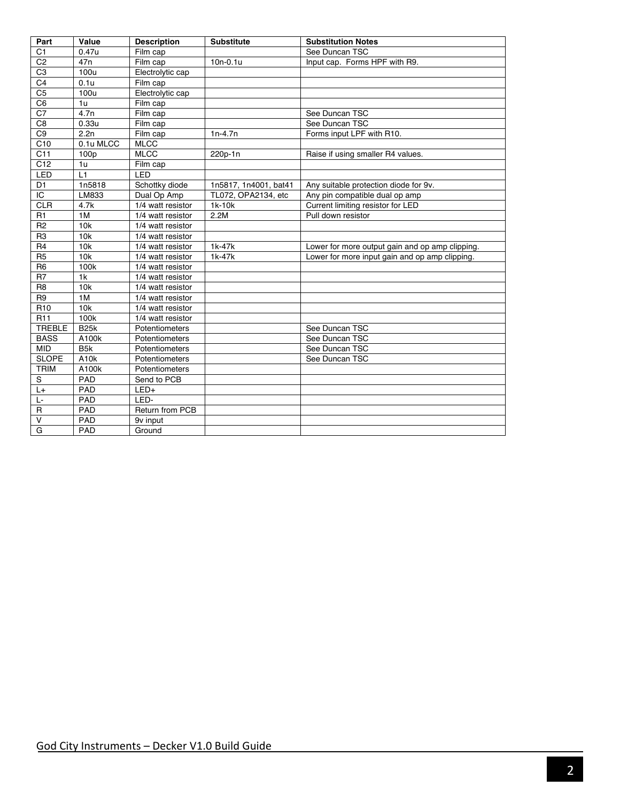| Part            | Value             | <b>Description</b>    | <b>Substitute</b>     | <b>Substitution Notes</b>                       |
|-----------------|-------------------|-----------------------|-----------------------|-------------------------------------------------|
| C <sub>1</sub>  | 0.47u             | Film cap              |                       | See Duncan TSC                                  |
| C <sub>2</sub>  | 47 <sub>n</sub>   | Film cap              | $10n - 0.1u$          | Input cap. Forms HPF with R9.                   |
| C3              | 100u              | Electrolytic cap      |                       |                                                 |
| C <sub>4</sub>  | 0.1u              | Film cap              |                       |                                                 |
| C <sub>5</sub>  | 100u              | Electrolytic cap      |                       |                                                 |
| C <sub>6</sub>  | 1u                | Film cap              |                       |                                                 |
| C7              | 4.7n              | $\overline{Film}$ cap |                       | See Duncan TSC                                  |
| C <sub>8</sub>  | 0.33 <sub>u</sub> | Film cap              |                       | See Duncan TSC                                  |
| C <sub>9</sub>  | 2.2n              | Film cap              | $1n-4.7n$             | Forms input LPF with R10.                       |
| C10             | 0.1u MLCC         | <b>MLCC</b>           |                       |                                                 |
| C11             | 100p              | <b>MLCC</b>           | 220p-1n               | Raise if using smaller R4 values.               |
| C12             | 1u                | Film cap              |                       |                                                 |
| LED             | L1                | LED                   |                       |                                                 |
| D <sub>1</sub>  | 1n5818            | Schottky diode        | 1n5817, 1n4001, bat41 | Any suitable protection diode for 9v.           |
| IC              | LM833             | Dual Op Amp           | TL072, OPA2134, etc   | Any pin compatible dual op amp                  |
| <b>CLR</b>      | 4.7k              | 1/4 watt resistor     | 1k-10k                | Current limiting resistor for LED               |
| R <sub>1</sub>  | 1M                | 1/4 watt resistor     | 2.2M                  | Pull down resistor                              |
| R <sub>2</sub>  | 10k               | 1/4 watt resistor     |                       |                                                 |
| R <sub>3</sub>  | 10k               | 1/4 watt resistor     |                       |                                                 |
| R <sub>4</sub>  | 10 <sub>k</sub>   | 1/4 watt resistor     | 1k-47k                | Lower for more output gain and op amp clipping. |
| R5              | 10k               | 1/4 watt resistor     | 1k-47k                | Lower for more input gain and op amp clipping.  |
| R <sub>6</sub>  | 100k              | 1/4 watt resistor     |                       |                                                 |
| R <sub>7</sub>  | 1 <sub>k</sub>    | 1/4 watt resistor     |                       |                                                 |
| R <sub>8</sub>  | 10 <sub>k</sub>   | 1/4 watt resistor     |                       |                                                 |
| R <sub>9</sub>  | 1M                | 1/4 watt resistor     |                       |                                                 |
| R <sub>10</sub> | 10k               | 1/4 watt resistor     |                       |                                                 |
| <b>R11</b>      | 100k              | 1/4 watt resistor     |                       |                                                 |
| <b>TREBLE</b>   | <b>B25k</b>       | Potentiometers        |                       | See Duncan TSC                                  |
| <b>BASS</b>     | A100k             | Potentiometers        |                       | See Duncan TSC                                  |
| <b>MID</b>      | B <sub>5</sub> k  | Potentiometers        |                       | See Duncan TSC                                  |
| <b>SLOPE</b>    | A <sub>10</sub> k | Potentiometers        |                       | See Duncan TSC                                  |
| <b>TRIM</b>     | A100k             | Potentiometers        |                       |                                                 |
| S               | PAD               | Send to PCB           |                       |                                                 |
| $L +$           | PAD               | $LED+$                |                       |                                                 |
| Ŀ.              | PAD               | LED-                  |                       |                                                 |
| R               | PAD               | Return from PCB       |                       |                                                 |
| $\vee$          | PAD               | 9v input              |                       |                                                 |
| G               | PAD               | Ground                |                       |                                                 |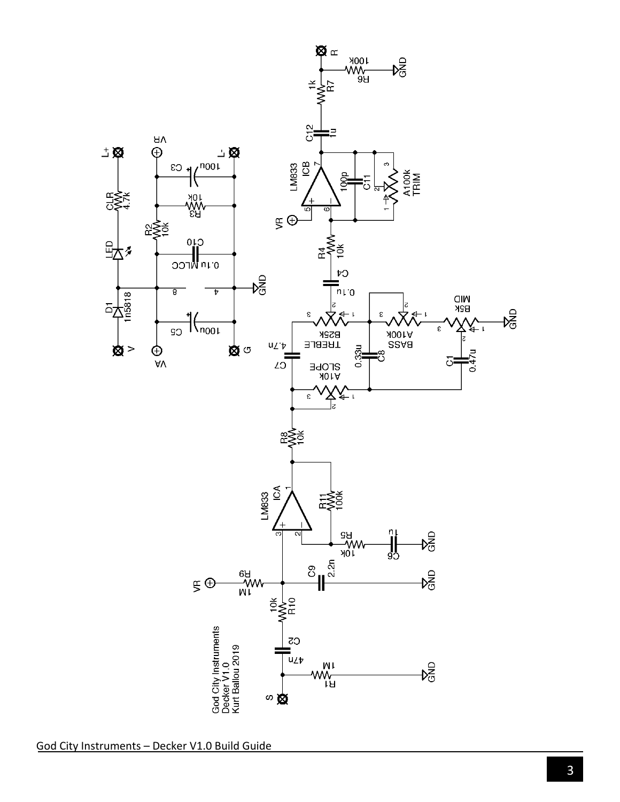